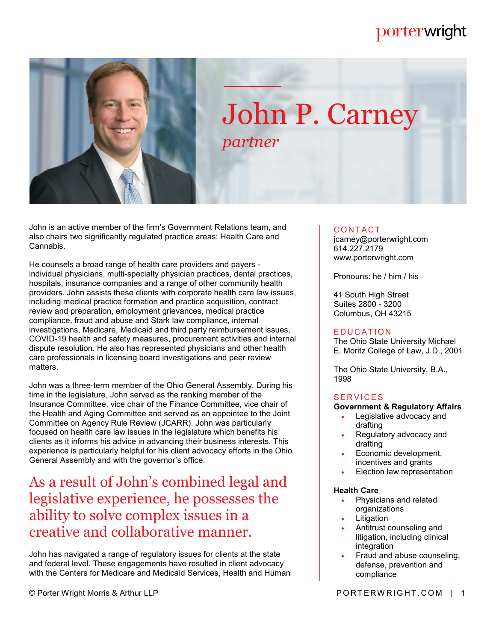# porterwright



# John P. Carney *partner*

John is an active member of the firm's Government Relations team, and also chairs two significantly regulated practice areas: Health Care and Cannabis.

He counsels a broad range of health care providers and payers individual physicians, multi-specialty physician practices, dental practices, hospitals, insurance companies and a range of other community health providers. John assists these clients with corporate health care law issues, including medical practice formation and practice acquisition, contract review and preparation, employment grievances, medical practice compliance, fraud and abuse and Stark law compliance, internal investigations, Medicare, Medicaid and third party reimbursement issues, COVID-19 health and safety measures, procurement activities and internal dispute resolution. He also has represented physicians and other health care professionals in licensing board investigations and peer review matters.

John was a three-term member of the Ohio General Assembly. During his time in the legislature, John served as the ranking member of the Insurance Committee, vice chair of the Finance Committee, vice chair of the Health and Aging Committee and served as an appointee to the Joint Committee on Agency Rule Review (JCARR). John was particularly focused on health care law issues in the legislature which benefits his clients as it informs his advice in advancing their business interests. This experience is particularly helpful for his client advocacy efforts in the Ohio General Assembly and with the governor's office.

As a result of John's combined legal and legislative experience, he possesses the ability to solve complex issues in a creative and collaborative manner.

John has navigated a range of regulatory issues for clients at the state and federal level. These engagements have resulted in client advocacy with the Centers for Medicare and Medicaid Services, Health and Human

# **CONTACT**

jcarney@porterwright.com 614.227.2179 www.porterwright.com

Pronouns: he / him / his

41 South High Street Suites 2800 - 3200 Columbus, OH 43215

# **EDUCATION**

The Ohio State University Michael E. Moritz College of Law, J.D., 2001

The Ohio State University, B.A., 1998

# **SERVICES**

# **Government & Regulatory Affairs**

- Legislative advocacy and drafting
- Regulatory advocacy and drafting
- Economic development, incentives and grants
- Election law representation

# **Health Care**

- Physicians and related organizations
- Litigation
- Antitrust counseling and litigation, including clinical integration
- Fraud and abuse counseling, defense, prevention and compliance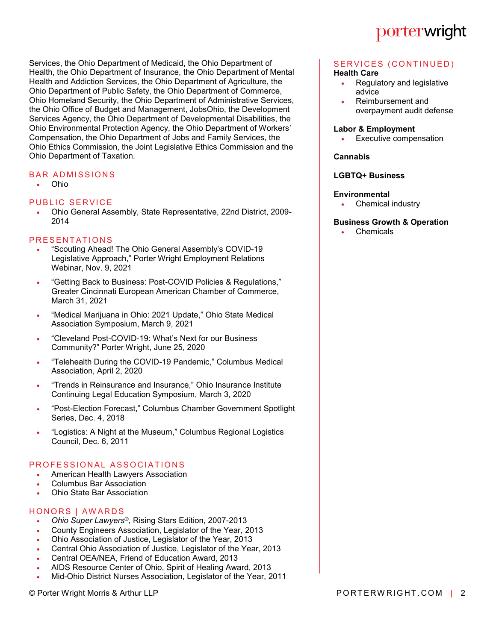Services, the Ohio Department of Medicaid, the Ohio Department of Health, the Ohio Department of Insurance, the Ohio Department of Mental Health and Addiction Services, the Ohio Department of Agriculture, the Ohio Department of Public Safety, the Ohio Department of Commerce, Ohio Homeland Security, the Ohio Department of Administrative Services, the Ohio Office of Budget and Management, JobsOhio, the Development Services Agency, the Ohio Department of Developmental Disabilities, the Ohio Environmental Protection Agency, the Ohio Department of Workers' Compensation, the Ohio Department of Jobs and Family Services, the Ohio Ethics Commission, the Joint Legislative Ethics Commission and the Ohio Department of Taxation.

#### **BAR ADMISSIONS**

Ohio

# PUBLIC SERVICE

 Ohio General Assembly, State Representative, 22nd District, 2009- 2014

#### PRESENTATIONS

- "Scouting Ahead! The Ohio General Assembly's COVID-19 Legislative Approach," Porter Wright Employment Relations Webinar, Nov. 9, 2021
- "Getting Back to Business: Post-COVID Policies & Regulations," Greater Cincinnati European American Chamber of Commerce, March 31, 2021
- "Medical Marijuana in Ohio: 2021 Update," Ohio State Medical Association Symposium, March 9, 2021
- "Cleveland Post-COVID-19: What's Next for our Business Community?" Porter Wright, June 25, 2020
- "Telehealth During the COVID-19 Pandemic," Columbus Medical Association, April 2, 2020
- "Trends in Reinsurance and Insurance," Ohio Insurance Institute Continuing Legal Education Symposium, March 3, 2020
- "Post-Election Forecast," Columbus Chamber Government Spotlight Series, Dec. 4, 2018
- "Logistics: A Night at the Museum," Columbus Regional Logistics Council, Dec. 6, 2011

#### PROFESSIONAL ASSOCIATIONS

- American Health Lawyers Association
- Columbus Bar Association
- Ohio State Bar Association

#### HONORS | AWARDS

- *Ohio Super Lawyers*®, Rising Stars Edition, 2007-2013
- County Engineers Association, Legislator of the Year, 2013
- Ohio Association of Justice, Legislator of the Year, 2013
- Central Ohio Association of Justice, Legislator of the Year, 2013
- Central OEA/NEA, Friend of Education Award, 2013
- AIDS Resource Center of Ohio, Spirit of Healing Award, 2013
- Mid-Ohio District Nurses Association, Legislator of the Year, 2011

# porterwright

# SERVICES (CONTINUED)

- **Health Care**
	- Regulatory and legislative advice
	- Reimbursement and overpayment audit defense

#### **Labor & Employment**

Executive compensation

**Cannabis**

#### **LGBTQ+ Business**

#### **Environmental**

• Chemical industry

#### **Business Growth & Operation**

Chemicals